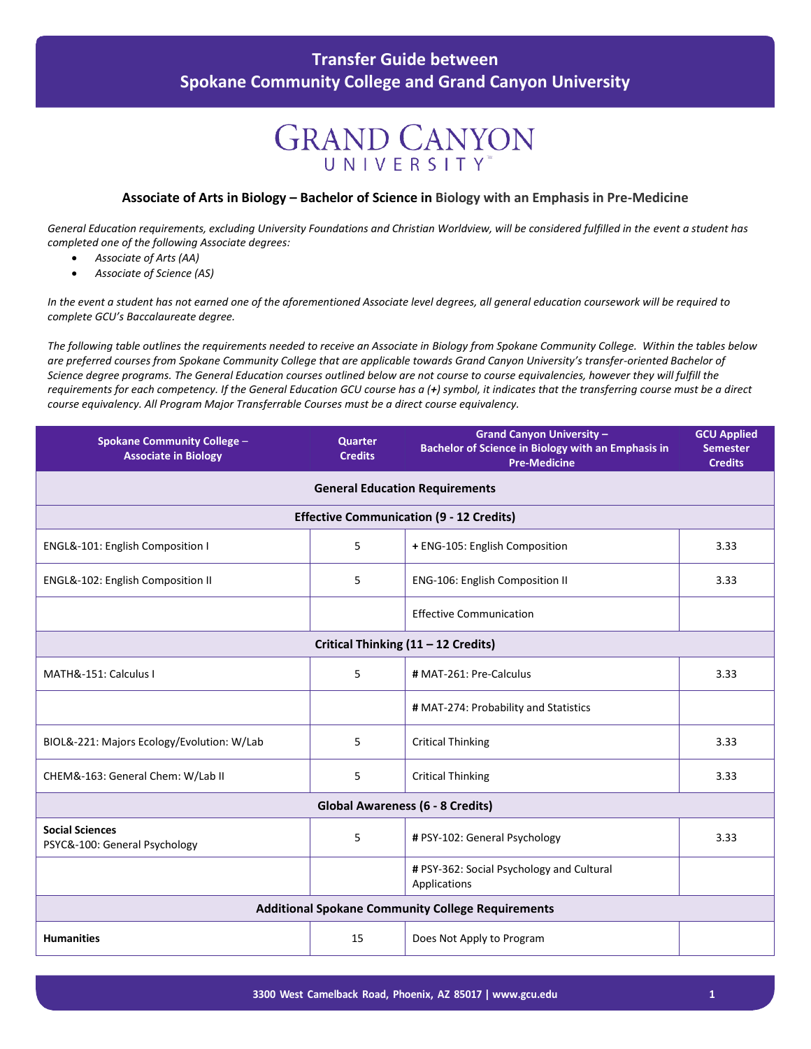### **GRAND CANYON** UNIVERSITY

#### **Associate of Arts in Biology – Bachelor of Science in Biology with an Emphasis in Pre-Medicine**

*General Education requirements, excluding University Foundations and Christian Worldview, will be considered fulfilled in the event a student has completed one of the following Associate degrees:*

- *Associate of Arts (AA)*
- *Associate of Science (AS)*

*In the event a student has not earned one of the aforementioned Associate level degrees, all general education coursework will be required to complete GCU's Baccalaureate degree.*

*The following table outlines the requirements needed to receive an Associate in Biology from Spokane Community College. Within the tables below are preferred courses from Spokane Community College that are applicable towards Grand Canyon University's transfer-oriented Bachelor of Science degree programs. The General Education courses outlined below are not course to course equivalencies, however they will fulfill the requirements for each competency. If the General Education GCU course has a (+) symbol, it indicates that the transferring course must be a direct course equivalency. All Program Major Transferrable Courses must be a direct course equivalency.*

| <b>Spokane Community College -</b><br><b>Associate in Biology</b> | <b>Quarter</b><br><b>Credits</b> | <b>Grand Canyon University -</b><br><b>Bachelor of Science in Biology with an Emphasis in</b><br><b>Pre-Medicine</b> | <b>GCU Applied</b><br><b>Semester</b><br><b>Credits</b> |
|-------------------------------------------------------------------|----------------------------------|----------------------------------------------------------------------------------------------------------------------|---------------------------------------------------------|
| <b>General Education Requirements</b>                             |                                  |                                                                                                                      |                                                         |
|                                                                   |                                  | <b>Effective Communication (9 - 12 Credits)</b>                                                                      |                                                         |
| ENGL&-101: English Composition I                                  | 5                                | + ENG-105: English Composition                                                                                       | 3.33                                                    |
| ENGL&-102: English Composition II                                 | 5                                | ENG-106: English Composition II                                                                                      | 3.33                                                    |
|                                                                   |                                  | <b>Effective Communication</b>                                                                                       |                                                         |
|                                                                   |                                  | Critical Thinking (11 - 12 Credits)                                                                                  |                                                         |
| MATH&-151: Calculus I                                             | 5                                | # MAT-261: Pre-Calculus                                                                                              | 3.33                                                    |
|                                                                   |                                  | # MAT-274: Probability and Statistics                                                                                |                                                         |
| BIOL&-221: Majors Ecology/Evolution: W/Lab                        | 5                                | <b>Critical Thinking</b>                                                                                             | 3.33                                                    |
| CHEM&-163: General Chem: W/Lab II                                 | 5                                | <b>Critical Thinking</b>                                                                                             | 3.33                                                    |
| <b>Global Awareness (6 - 8 Credits)</b>                           |                                  |                                                                                                                      |                                                         |
| <b>Social Sciences</b><br>PSYC&-100: General Psychology           | 5                                | # PSY-102: General Psychology                                                                                        | 3.33                                                    |
|                                                                   |                                  | # PSY-362: Social Psychology and Cultural<br>Applications                                                            |                                                         |
| <b>Additional Spokane Community College Requirements</b>          |                                  |                                                                                                                      |                                                         |
| <b>Humanities</b>                                                 | 15                               | Does Not Apply to Program                                                                                            |                                                         |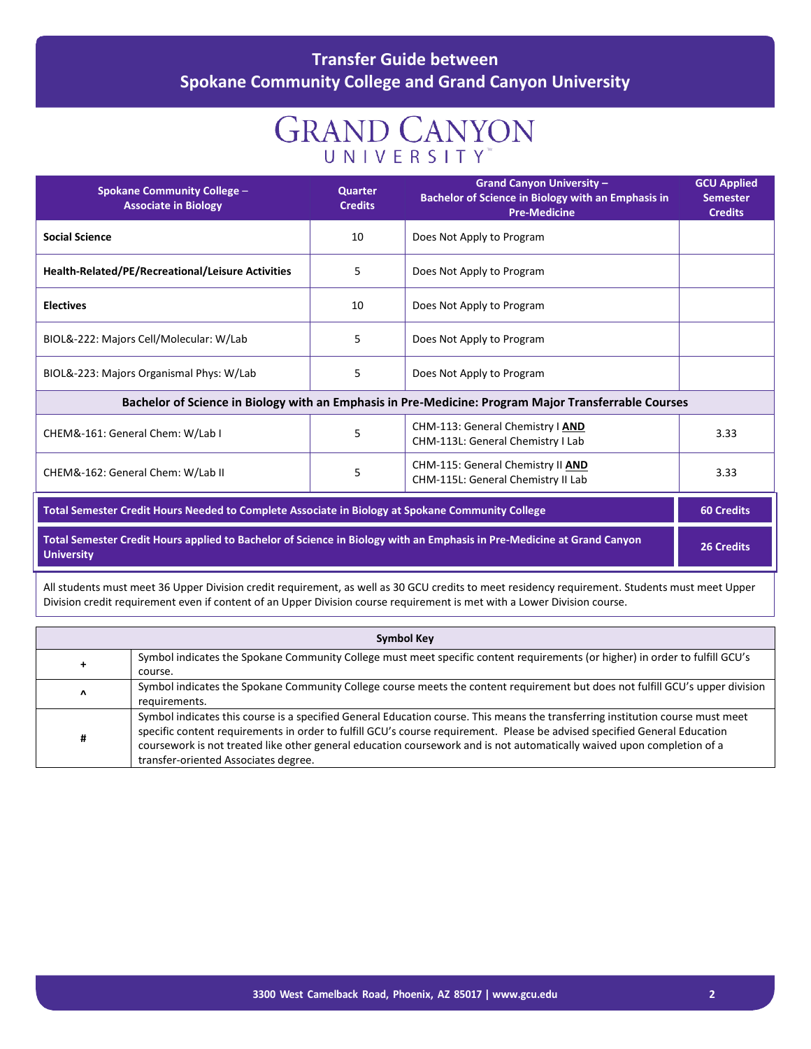# **GRAND CANYON**

| <b>Spokane Community College -</b><br><b>Associate in Biology</b>                                                                           | <b>Quarter</b><br><b>Credits</b> | <b>Grand Canyon University -</b><br>Bachelor of Science in Biology with an Emphasis in<br><b>Pre-Medicine</b> | <b>GCU Applied</b><br><b>Semester</b><br><b>Credits</b> |
|---------------------------------------------------------------------------------------------------------------------------------------------|----------------------------------|---------------------------------------------------------------------------------------------------------------|---------------------------------------------------------|
| <b>Social Science</b>                                                                                                                       | 10                               | Does Not Apply to Program                                                                                     |                                                         |
| <b>Health-Related/PE/Recreational/Leisure Activities</b>                                                                                    | 5                                | Does Not Apply to Program                                                                                     |                                                         |
| <b>Electives</b>                                                                                                                            | 10                               | Does Not Apply to Program                                                                                     |                                                         |
| BIOL&-222: Majors Cell/Molecular: W/Lab                                                                                                     | 5                                | Does Not Apply to Program                                                                                     |                                                         |
| BIOL&-223: Majors Organismal Phys: W/Lab                                                                                                    | 5                                | Does Not Apply to Program                                                                                     |                                                         |
| Bachelor of Science in Biology with an Emphasis in Pre-Medicine: Program Major Transferrable Courses                                        |                                  |                                                                                                               |                                                         |
| CHEM&-161: General Chem: W/Lab I                                                                                                            | 5                                | CHM-113: General Chemistry   AND<br>CHM-113L: General Chemistry I Lab                                         | 3.33                                                    |
| CHEM&-162: General Chem: W/Lab II                                                                                                           | 5                                | CHM-115: General Chemistry II AND<br>CHM-115L: General Chemistry II Lab                                       | 3.33                                                    |
| Total Semester Credit Hours Needed to Complete Associate in Biology at Spokane Community College                                            |                                  |                                                                                                               | <b>60 Credits</b>                                       |
| Total Semester Credit Hours applied to Bachelor of Science in Biology with an Emphasis in Pre-Medicine at Grand Canyon<br><b>University</b> |                                  |                                                                                                               | <b>26 Credits</b>                                       |
|                                                                                                                                             |                                  |                                                                                                               |                                                         |

All students must meet 36 Upper Division credit requirement, as well as 30 GCU credits to meet residency requirement. Students must meet Upper Division credit requirement even if content of an Upper Division course requirement is met with a Lower Division course.

| <b>Symbol Key</b> |                                                                                                                                                                                                                                                                                                                                                                                                                               |  |
|-------------------|-------------------------------------------------------------------------------------------------------------------------------------------------------------------------------------------------------------------------------------------------------------------------------------------------------------------------------------------------------------------------------------------------------------------------------|--|
| +                 | Symbol indicates the Spokane Community College must meet specific content requirements (or higher) in order to fulfill GCU's<br>course.                                                                                                                                                                                                                                                                                       |  |
| Λ                 | Symbol indicates the Spokane Community College course meets the content requirement but does not fulfill GCU's upper division<br>requirements.                                                                                                                                                                                                                                                                                |  |
| #                 | Symbol indicates this course is a specified General Education course. This means the transferring institution course must meet<br>specific content requirements in order to fulfill GCU's course requirement. Please be advised specified General Education<br>coursework is not treated like other general education coursework and is not automatically waived upon completion of a<br>transfer-oriented Associates degree. |  |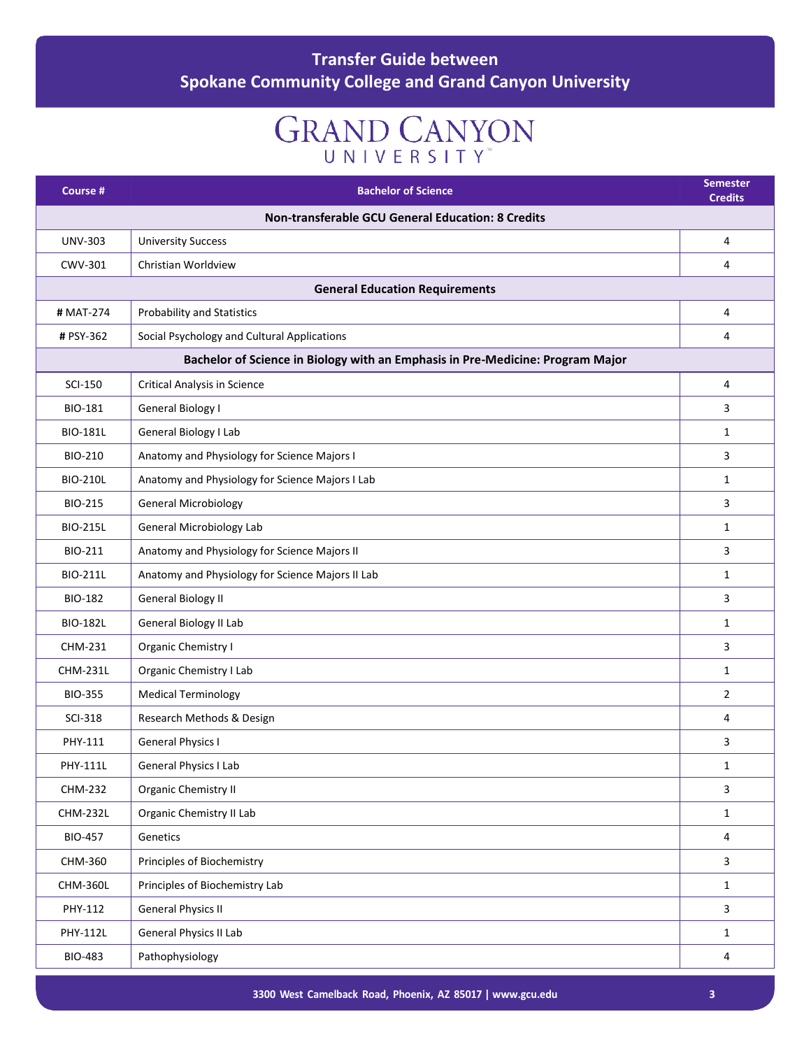# **GRAND CANYON**

| Course #        | <b>Bachelor of Science</b>                                                     | <b>Semester</b><br><b>Credits</b> |  |
|-----------------|--------------------------------------------------------------------------------|-----------------------------------|--|
|                 | Non-transferable GCU General Education: 8 Credits                              |                                   |  |
| <b>UNV-303</b>  | <b>University Success</b>                                                      | 4                                 |  |
| CWV-301         | Christian Worldview                                                            | 4                                 |  |
|                 | <b>General Education Requirements</b>                                          |                                   |  |
| # MAT-274       | Probability and Statistics                                                     | 4                                 |  |
| # PSY-362       | Social Psychology and Cultural Applications                                    | 4                                 |  |
|                 | Bachelor of Science in Biology with an Emphasis in Pre-Medicine: Program Major |                                   |  |
| <b>SCI-150</b>  | <b>Critical Analysis in Science</b>                                            | 4                                 |  |
| <b>BIO-181</b>  | <b>General Biology I</b>                                                       | 3                                 |  |
| <b>BIO-181L</b> | General Biology I Lab                                                          | $\mathbf{1}$                      |  |
| <b>BIO-210</b>  | Anatomy and Physiology for Science Majors I                                    | 3                                 |  |
| <b>BIO-210L</b> | Anatomy and Physiology for Science Majors I Lab                                | $\mathbf{1}$                      |  |
| <b>BIO-215</b>  | <b>General Microbiology</b>                                                    | 3                                 |  |
| <b>BIO-215L</b> | <b>General Microbiology Lab</b>                                                | $\mathbf{1}$                      |  |
| BIO-211         | Anatomy and Physiology for Science Majors II                                   | 3                                 |  |
| <b>BIO-211L</b> | Anatomy and Physiology for Science Majors II Lab                               | $\mathbf{1}$                      |  |
| <b>BIO-182</b>  | <b>General Biology II</b>                                                      | 3                                 |  |
| <b>BIO-182L</b> | General Biology II Lab                                                         | $\mathbf{1}$                      |  |
| CHM-231         | Organic Chemistry I                                                            | 3                                 |  |
| <b>CHM-231L</b> | Organic Chemistry I Lab                                                        | $\mathbf{1}$                      |  |
| <b>BIO-355</b>  | <b>Medical Terminology</b>                                                     | $\overline{2}$                    |  |
| <b>SCI-318</b>  | Research Methods & Design                                                      | 4                                 |  |
| PHY-111         | <b>General Physics I</b>                                                       | 3                                 |  |
| PHY-111L        | General Physics I Lab                                                          | $\mathbf{1}$                      |  |
| <b>CHM-232</b>  | Organic Chemistry II                                                           | $\mathbf{3}$                      |  |
| <b>CHM-232L</b> | Organic Chemistry II Lab                                                       | $\mathbf{1}$                      |  |
| <b>BIO-457</b>  | Genetics                                                                       | 4                                 |  |
| CHM-360         | Principles of Biochemistry                                                     | $\mathbf{3}$                      |  |
| CHM-360L        | Principles of Biochemistry Lab                                                 | $\mathbf{1}$                      |  |
| PHY-112         | <b>General Physics II</b>                                                      | $\mathbf{3}$                      |  |
| PHY-112L        | General Physics II Lab                                                         | $\mathbf{1}$                      |  |
| <b>BIO-483</b>  | Pathophysiology                                                                | $\overline{4}$                    |  |